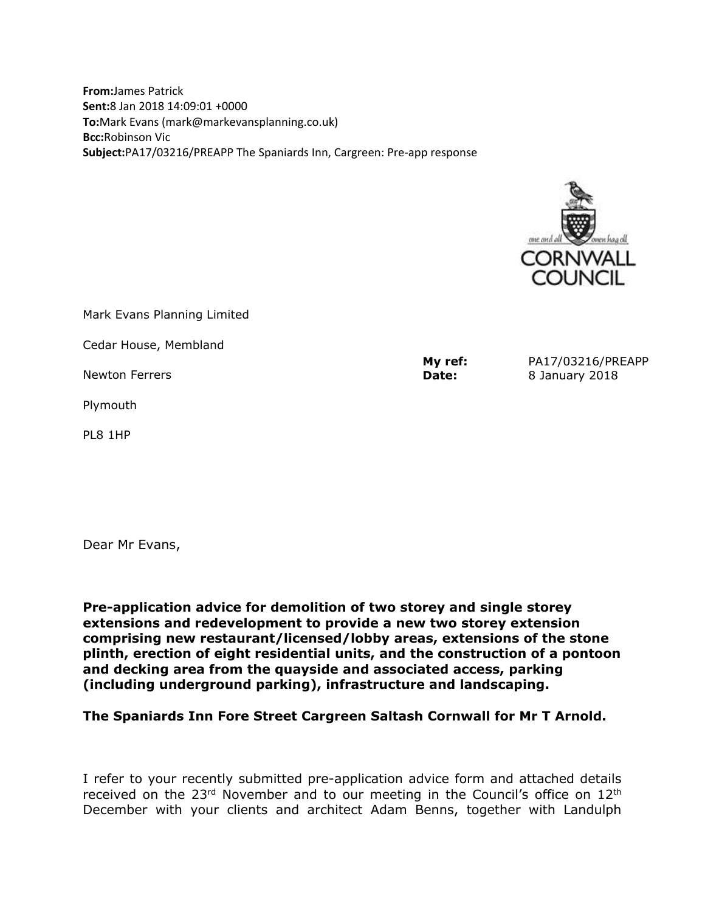**From:**James Patrick **Sent:**8 Jan 2018 14:09:01 +0000 **To:**Mark Evans (mark@markevansplanning.co.uk) **Bcc:**Robinson Vic **Subject:**PA17/03216/PREAPP The Spaniards Inn, Cargreen: Pre-app response



**My ref:** PA17/03216/PREAPP Mark Evans Planning Limited Cedar House, Membland Newton Ferrers Plymouth PL8 1HP **Date:** 8 January 2018

Dear Mr Evans,

**Pre-application advice for demolition of two storey and single storey extensions and redevelopment to provide a new two storey extension comprising new restaurant/licensed/lobby areas, extensions of the stone plinth, erection of eight residential units, and the construction of a pontoon and decking area from the quayside and associated access, parking (including underground parking), infrastructure and landscaping.**

**The Spaniards Inn Fore Street Cargreen Saltash Cornwall for Mr T Arnold.**

I refer to your recently submitted pre-application advice form and attached details received on the  $23<sup>rd</sup>$  November and to our meeting in the Council's office on  $12<sup>th</sup>$ December with your clients and architect Adam Benns, together with Landulph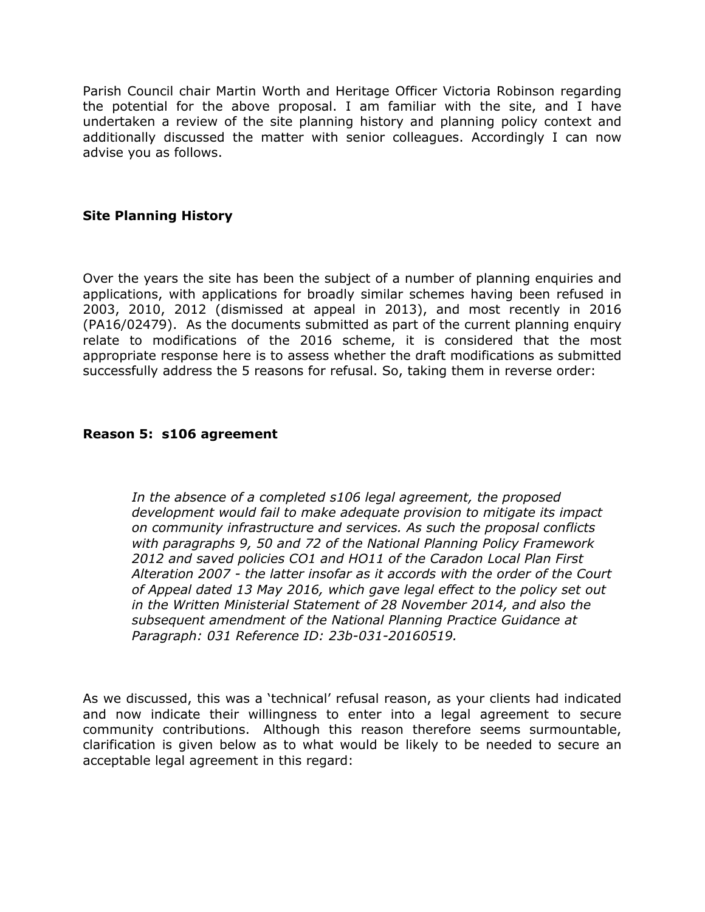Parish Council chair Martin Worth and Heritage Officer Victoria Robinson regarding the potential for the above proposal. I am familiar with the site, and I have undertaken a review of the site planning history and planning policy context and additionally discussed the matter with senior colleagues. Accordingly I can now advise you as follows.

# **Site Planning History**

Over the years the site has been the subject of a number of planning enquiries and applications, with applications for broadly similar schemes having been refused in 2003, 2010, 2012 (dismissed at appeal in 2013), and most recently in 2016 (PA16/02479). As the documents submitted as part of the current planning enquiry relate to modifications of the 2016 scheme, it is considered that the most appropriate response here is to assess whether the draft modifications as submitted successfully address the 5 reasons for refusal. So, taking them in reverse order:

## **Reason 5: s106 agreement**

*In the absence of a completed s106 legal agreement, the proposed development would fail to make adequate provision to mitigate its impact on community infrastructure and services. As such the proposal conflicts with paragraphs 9, 50 and 72 of the National Planning Policy Framework 2012 and saved policies CO1 and HO11 of the Caradon Local Plan First Alteration 2007 - the latter insofar as it accords with the order of the Court of Appeal dated 13 May 2016, which gave legal effect to the policy set out in the Written Ministerial Statement of 28 November 2014, and also the subsequent amendment of the National Planning Practice Guidance at Paragraph: 031 Reference ID: 23b-031-20160519.*

As we discussed, this was a 'technical' refusal reason, as your clients had indicated and now indicate their willingness to enter into a legal agreement to secure community contributions. Although this reason therefore seems surmountable, clarification is given below as to what would be likely to be needed to secure an acceptable legal agreement in this regard: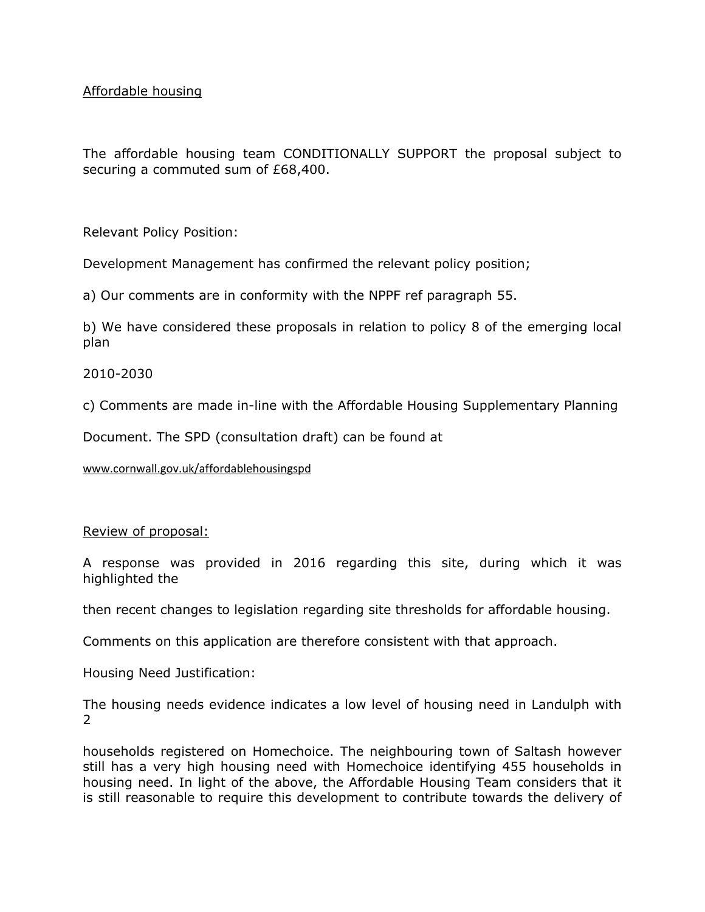Affordable housing

The affordable housing team CONDITIONALLY SUPPORT the proposal subject to securing a commuted sum of £68,400.

Relevant Policy Position:

Development Management has confirmed the relevant policy position;

a) Our comments are in conformity with the NPPF ref paragraph 55.

b) We have considered these proposals in relation to policy 8 of the emerging local plan

2010-2030

c) Comments are made in-line with the Affordable Housing Supplementary Planning

Document. The SPD (consultation draft) can be found at

[www.cornwall.gov.uk/affordablehousingsp](http://www.cornwall.gov.uk/affordablehousingspd)d

Review of proposal:

A response was provided in 2016 regarding this site, during which it was highlighted the

then recent changes to legislation regarding site thresholds for affordable housing.

Comments on this application are therefore consistent with that approach.

Housing Need Justification:

The housing needs evidence indicates a low level of housing need in Landulph with 2

households registered on Homechoice. The neighbouring town of Saltash however still has a very high housing need with Homechoice identifying 455 households in housing need. In light of the above, the Affordable Housing Team considers that it is still reasonable to require this development to contribute towards the delivery of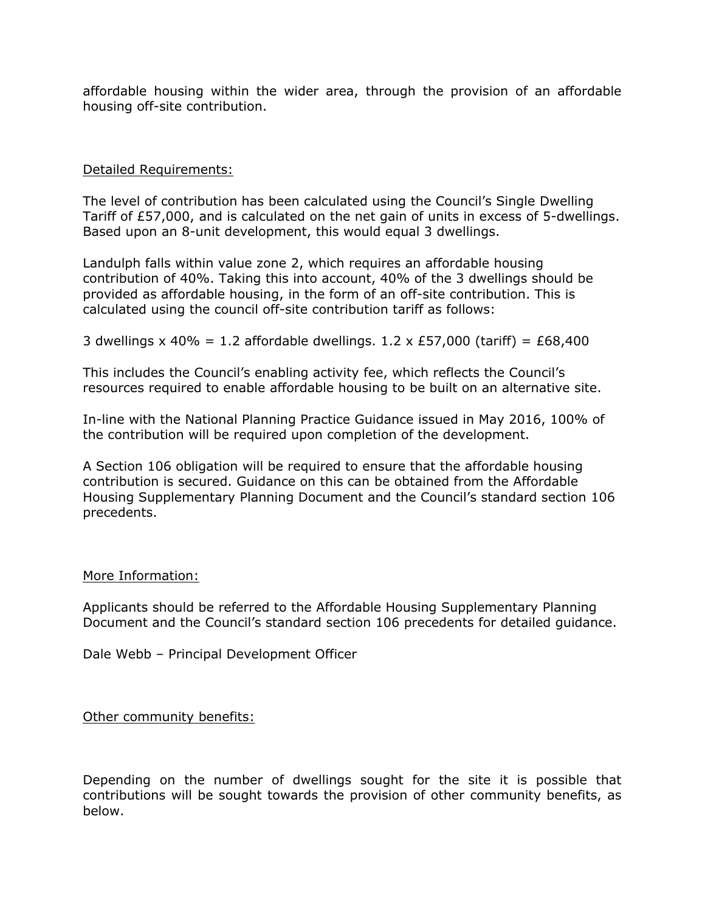affordable housing within the wider area, through the provision of an affordable housing off-site contribution.

### Detailed Requirements:

The level of contribution has been calculated using the Council's Single Dwelling Tariff of £57,000, and is calculated on the net gain of units in excess of 5-dwellings. Based upon an 8-unit development, this would equal 3 dwellings.

Landulph falls within value zone 2, which requires an affordable housing contribution of 40%. Taking this into account, 40% of the 3 dwellings should be provided as affordable housing, in the form of an off-site contribution. This is calculated using the council off-site contribution tariff as follows:

3 dwellings x 40% = 1.2 affordable dwellings. 1.2 x £57,000 (tariff) = £68,400

This includes the Council's enabling activity fee, which reflects the Council's resources required to enable affordable housing to be built on an alternative site.

In-line with the National Planning Practice Guidance issued in May 2016, 100% of the contribution will be required upon completion of the development.

A Section 106 obligation will be required to ensure that the affordable housing contribution is secured. Guidance on this can be obtained from the Affordable Housing Supplementary Planning Document and the Council's standard section 106 precedents.

### More Information:

Applicants should be referred to the Affordable Housing Supplementary Planning Document and the Council's standard section 106 precedents for detailed guidance.

Dale Webb – Principal Development Officer

Other community benefits:

Depending on the number of dwellings sought for the site it is possible that contributions will be sought towards the provision of other community benefits, as below.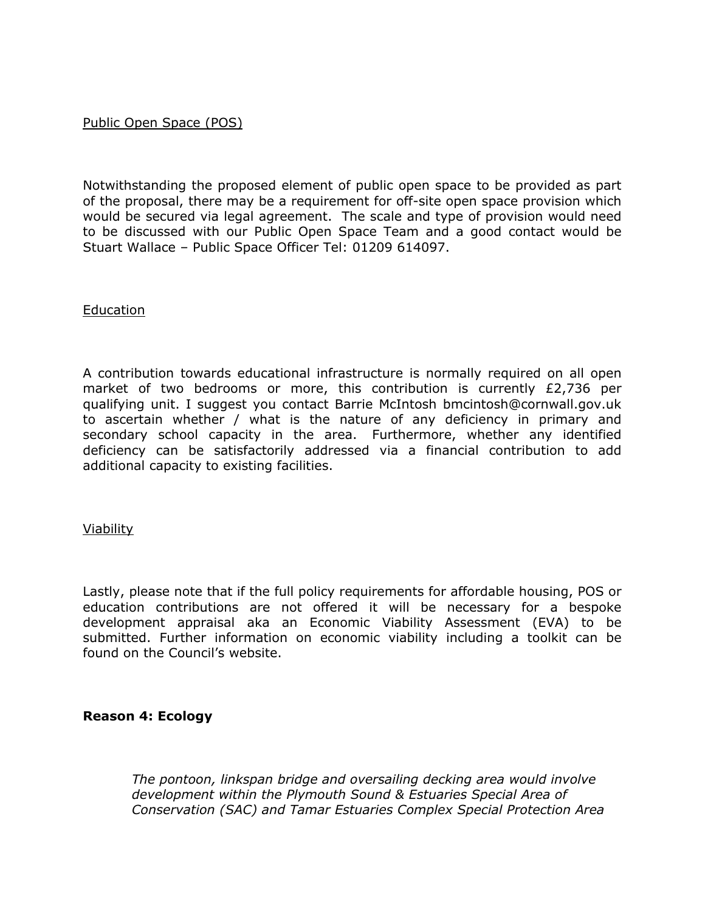## Public Open Space (POS)

Notwithstanding the proposed element of public open space to be provided as part of the proposal, there may be a requirement for off-site open space provision which would be secured via legal agreement. The scale and type of provision would need to be discussed with our Public Open Space Team and a good contact would be Stuart Wallace – Public Space Officer Tel: 01209 614097.

### Education

A contribution towards educational infrastructure is normally required on all open market of two bedrooms or more, this contribution is currently £2,736 per qualifying unit. I suggest you contact Barrie McIntosh bmcintosh@cornwall.gov.uk to ascertain whether / what is the nature of any deficiency in primary and secondary school capacity in the area. Furthermore, whether any identified deficiency can be satisfactorily addressed via a financial contribution to add additional capacity to existing facilities.

### Viability

Lastly, please note that if the full policy requirements for affordable housing, POS or education contributions are not offered it will be necessary for a bespoke development appraisal aka an Economic Viability Assessment (EVA) to be submitted. Further information on economic viability including a toolkit can be found on the Council's website.

### **Reason 4: Ecology**

*The pontoon, linkspan bridge and oversailing decking area would involve development within the Plymouth Sound & Estuaries Special Area of Conservation (SAC) and Tamar Estuaries Complex Special Protection Area*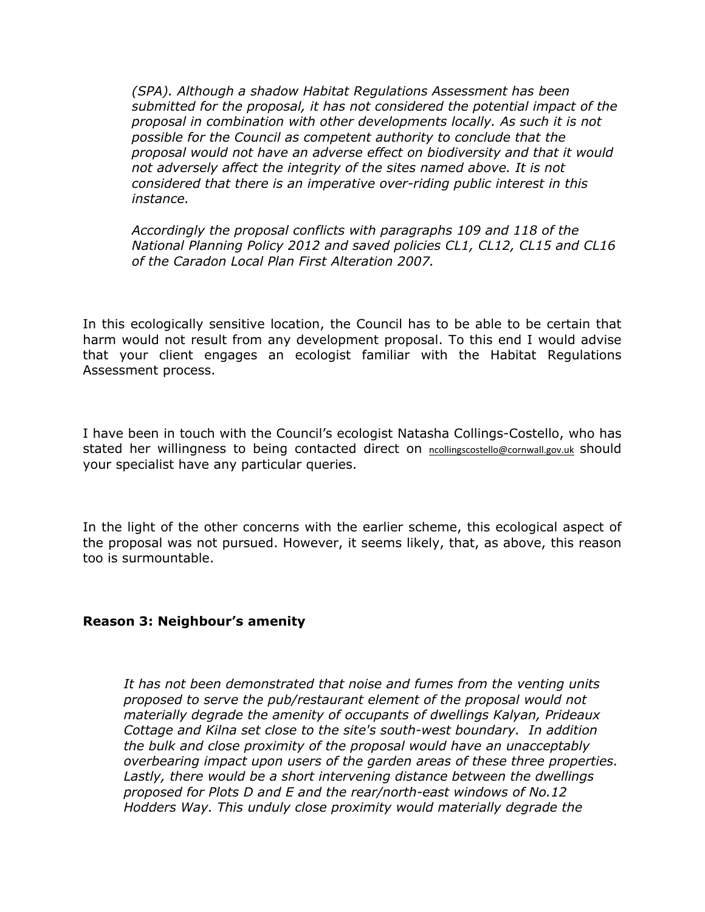(SPA). Although a shadow Habitat Regulations Assessment has been submitted for the proposal, it has not considered the potential impact of the proposal in combination with other developments locally. As such it is not possible for the Council as competent authority to conclude that the proposal would not have an adverse effect on biodiversity and that it would not adversely affect the integrity of the sites named above. It is not considered that there is an imperative over-riding public interest in this instance.

Accordingly the proposal conflicts with paragraphs 109 and 118 of the National Planning Policy 2012 and saved policies CL1, CL12, CL15 and CL16 of the Caradon Local Plan First Alteration 2007.

In this ecologically sensitive location, the Council has to be able to be certain that harm would not result from any development proposal. To this end I would advise that your client engages an ecologist familiar with the Habitat Regulations Assessment process.

I have been in touch with the Council's ecologist Natasha Collings-Costello, who has stated her willingness to being contacted direct on [ncollingscostello@cornwall.gov.](mailto:ncollingscostello@cornwall.gov.uk)u&hould your specialist have any particular queries.

In the light of the other concerns with the earlier scheme, this ecological aspect of the proposal was not pursued. However, it seems likely, that, as above, this reason too is surmountable.

Reason 3: Neighbour's amenity

It has not been demonstrated that noise and fumes from the venting units proposed to serve the pub/restaurant element of the proposal would not materially degrade the amenity of occupants of dwellings Kalyan, Prideaux Cottage and Kilna set close to the site's south-west boundary. In addition the bulk and close proximity of the proposal would have an unacceptably overbearing impact upon users of the garden areas of these three properties. Lastly, there would be a short intervening distance between the dwellings proposed for Plots D and E and the rear/north-east windows of No.12 Hodders Way. This unduly close proximity would materially degrade the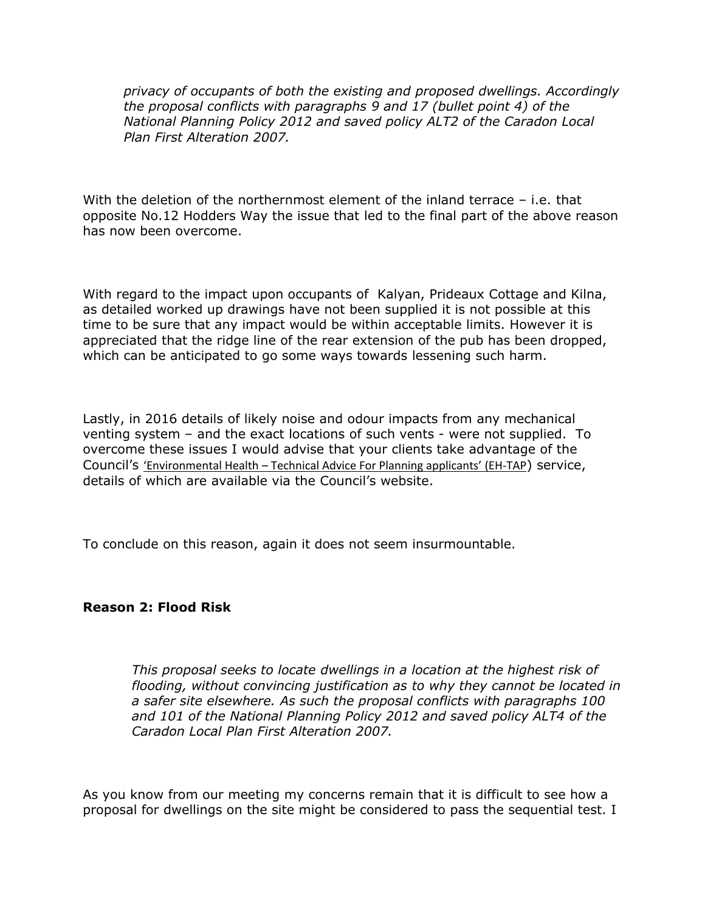privacy of occupants of both the existing and proposed dwellings. Accordingly the proposal conflicts with paragraphs 9 and 17 (bullet point 4) of the National Planning Policy 2012 and saved policy ALT2 of the Caradon Local Plan First Alteration 2007.

With the deletion of the northernmost element of the inland terrace  $-i.e.$  that opposite No.12 Hodders Way the issue that led to the final part of the above reason has now been overcome.

With regard to the impact upon occupants of Kalyan, Prideaux Cottage and Kilna, as detailed worked up drawings have not been supplied it is not possible at this time to be sure that any impact would be within acceptable limits. However it is appreciated that the ridge line of the rear extension of the pub has been dropped, which can be anticipated to go some ways towards lessening such harm.

Lastly, in 2016 details of likely noise and odour impacts from any mechanical venting system – and the exact locations of such vents - were not supplied. To overcome these issues I would advise that your clients take advantage of the Council's '[Environmental](http://www.cornwall.gov.uk/environment-and-planning/environmental-protection/environmental-health-technical-advice-for-planning-applicants/) [Health–](http://www.cornwall.gov.uk/environment-and-planning/environmental-protection/environmental-health-technical-advice-for-planning-applicants/) [Technica](http://www.cornwall.gov.uk/environment-and-planning/environmental-protection/environmental-health-technical-advice-for-planning-applicants/)l [Advice](http://www.cornwall.gov.uk/environment-and-planning/environmental-protection/environmental-health-technical-advice-for-planning-applicants/) [Fo](http://www.cornwall.gov.uk/environment-and-planning/environmental-protection/environmental-health-technical-advice-for-planning-applicants/)r [Planni](http://www.cornwall.gov.uk/environment-and-planning/environmental-protection/environmental-health-technical-advice-for-planning-applicants/)ng [applica](http://www.cornwall.gov.uk/environment-and-planning/environmental-protection/environmental-health-technical-advice-for-planning-applicants/) (**EH-TAP** service, details of which are available via the Council's website.

To conclude on this reason, again it does not seem insurmountable.

Reason 2: Flood Risk

This proposal seeks to locate dwellings in a location at the highest risk of flooding, without convincing justification as to why they cannot be located in a safer site elsewhere. As such the proposal conflicts with paragraphs 100 and 101 of the National Planning Policy 2012 and saved policy ALT4 of the Caradon Local Plan First Alteration 2007.

As you know from our meeting my concerns remain that it is difficult to see how a proposal for dwellings on the site might be considered to pass the sequential test.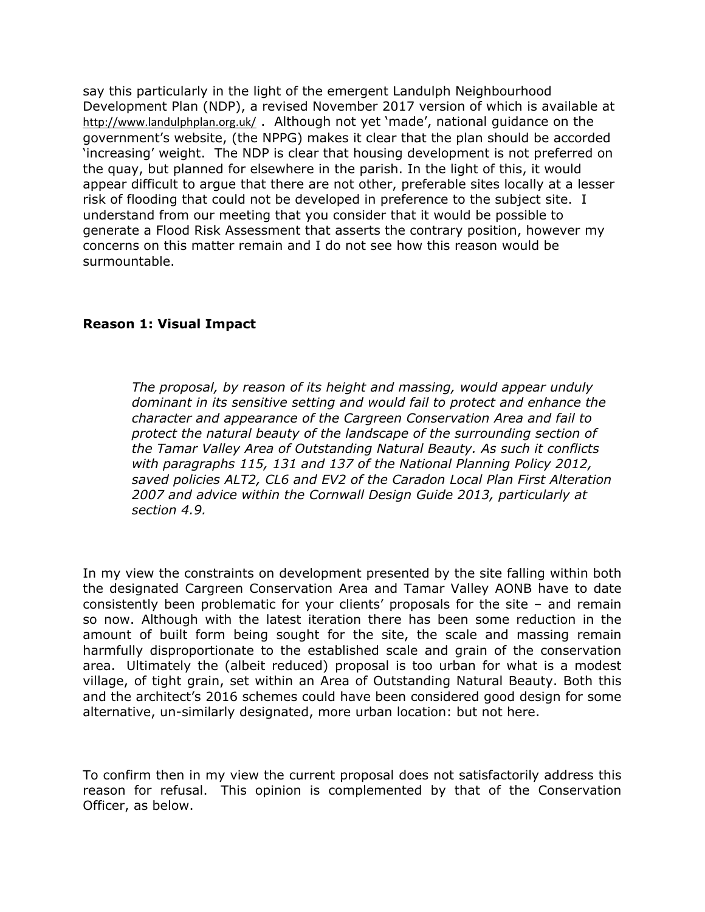say this particularly in the light of the emergent Landulph Neighbourhood Development Plan (NDP), a revised November 2017 version of which is available at <http://www.landulphplan.org.uk/>. Although not yet 'made', national guidance on the government's website, (the NPPG) makes it clear that the plan should be accorded 'increasing' weight. The NDP is clear that housing development is not preferred on the quay, but planned for elsewhere in the parish. In the light of this, it would appear difficult to argue that there are not other, preferable sites locally at a lesser risk of flooding that could not be developed in preference to the subject site. I understand from our meeting that you consider that it would be possible to generate a Flood Risk Assessment that asserts the contrary position, however my concerns on this matter remain and I do not see how this reason would be surmountable.

Reason 1: Visual Impact

The proposal, by reason of its height and massing, would appear unduly dominant in its sensitive setting and would fail to protect and enhance the character and appearance of the Cargreen Conservation Area and fail to protect the natural beauty of the landscape of the surrounding section of the Tamar Valley Area of Outstanding Natural Beauty. As such it conflicts with paragraphs 115, 131 and 137 of the National Planning Policy 2012, saved policies ALT2, CL6 and EV2 of the Caradon Local Plan First Alteration 2007 and advice within the Cornwall Design Guide 2013, particularly at section 4.9.

In my view the constraints on development presented by the site falling within both the designated Cargreen Conservation Area and Tamar Valley AONB have to date consistently been problematic for your clients' proposals for the site – and remain so now. Although with the latest iteration there has been some reduction in the amount of built form being sought for the site, the scale and massing remain harmfully disproportionate to the established scale and grain of the conservation area. Ultimately the (albeit reduced) proposal is too urban for what is a modest village, of tight grain, set within an Area of Outstanding Natural Beauty. Both this and the architect's 2016 schemes could have been considered good design for some alternative, un-similarly designated, more urban location: but not here.

To confirm then in my view the current proposal does not satisfactorily address this reason for refusal. This opinion is complemented by that of the Conservation Officer, as below.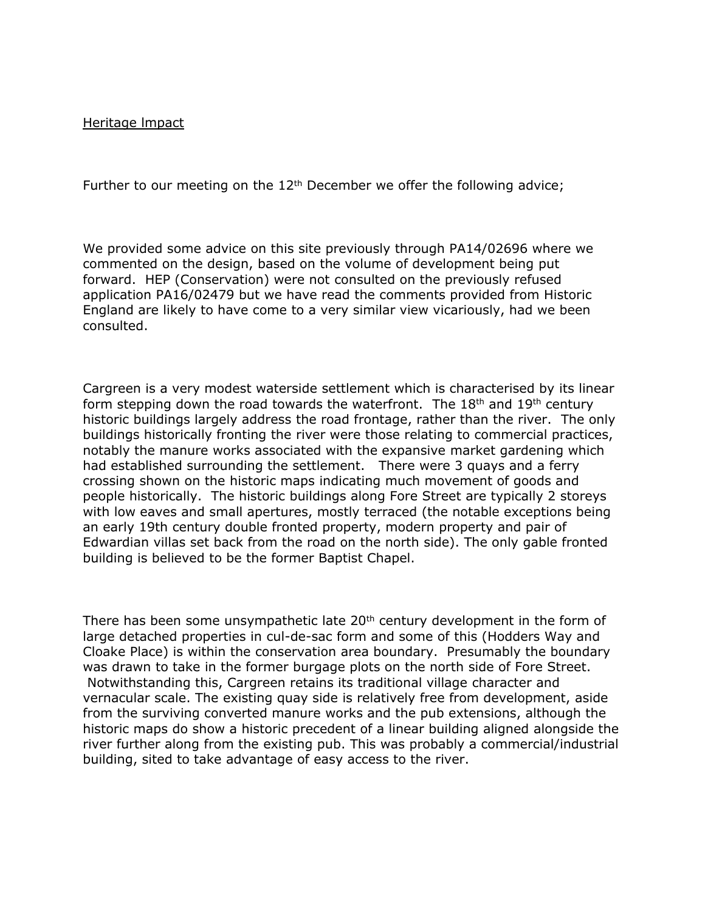Heritage lmpact

Further to our meeting on the 12<sup>th</sup> December we offer the following advice;

We provided some advice on this site previously through PA14/02696 where we commented on the design, based on the volume of development being put forward. HEP (Conservation) were not consulted on the previously refused application PA16/02479 but we have read the comments provided from Historic England are likely to have come to a very similar view vicariously, had we been consulted.

Cargreen is a very modest waterside settlement which is characterised by its linear form stepping down the road towards the waterfront. The  $18<sup>th</sup>$  and  $19<sup>th</sup>$  century historic buildings largely address the road frontage, rather than the river. The only buildings historically fronting the river were those relating to commercial practices, notably the manure works associated with the expansive market gardening which had established surrounding the settlement. There were 3 quays and a ferry crossing shown on the historic maps indicating much movement of goods and people historically. The historic buildings along Fore Street are typically 2 storeys with low eaves and small apertures, mostly terraced (the notable exceptions being an early 19th century double fronted property, modern property and pair of Edwardian villas set back from the road on the north side). The only gable fronted building is believed to be the former Baptist Chapel.

There has been some unsympathetic late 20<sup>th</sup> century development in the form of large detached properties in cul-de-sac form and some of this (Hodders Way and Cloake Place) is within the conservation area boundary. Presumably the boundary was drawn to take in the former burgage plots on the north side of Fore Street. Notwithstanding this, Cargreen retains its traditional village character and vernacular scale. The existing quay side is relatively free from development, aside from the surviving converted manure works and the pub extensions, although the historic maps do show a historic precedent of a linear building aligned alongside the river further along from the existing pub. This was probably a commercial/industrial building, sited to take advantage of easy access to the river.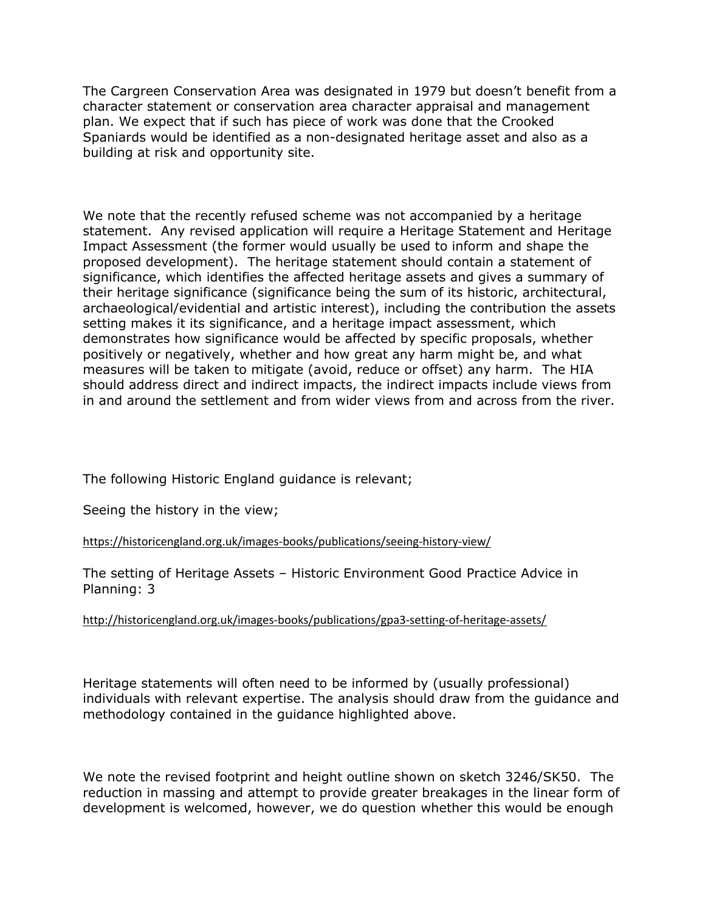The Cargreen Conservation Area was designated in 1979 but doesn't benefit from a character statement or conservation area character appraisal and management plan. We expect that if such has piece of work was done that the Crooked Spaniards would be identified as a non-designated heritage asset and also as a building at risk and opportunity site.

We note that the recently refused scheme was not accompanied by a heritage statement. Any revised application will require a Heritage Statement and Heritage Impact Assessment (the former would usually be used to inform and shape the proposed development). The heritage statement should contain a statement of significance, which identifies the affected heritage assets and gives a summary of their heritage significance (significance being the sum of its historic, architectural, archaeological/evidential and artistic interest), including the contribution the assets setting makes it its significance, and a heritage impact assessment, which demonstrates how significance would be affected by specific proposals, whether positively or negatively, whether and how great any harm might be, and what measures will be taken to mitigate (avoid, reduce or offset) any harm. The HIA should address direct and indirect impacts, the indirect impacts include views from in and around the settlement and from wider views from and across from the river.

The following Historic England guidance is relevant;

Seeing the history in the view;

[https://historicengland.org.uk/images-books/publications/seeing-history-vi](https://historicengland.org.uk/images-books/publications/seeing-history-view/)ew/

The setting of Heritage Assets – Historic Environment Good Practice Advice in Planning: 3

[http://historicengland.org.uk/images-books/publications/gpa3-setting-of-heritage-ass](http://historicengland.org.uk/images-books/publications/gpa3-setting-of-heritage-assets/)ets/

Heritage statements will often need to be informed by (usually professional) individuals with relevant expertise. The analysis should draw from the guidance and methodology contained in the guidance highlighted above.

We note the revised footprint and height outline shown on sketch 3246/SK50. The reduction in massing and attempt to provide greater breakages in the linear form of development is welcomed, however, we do question whether this would be enough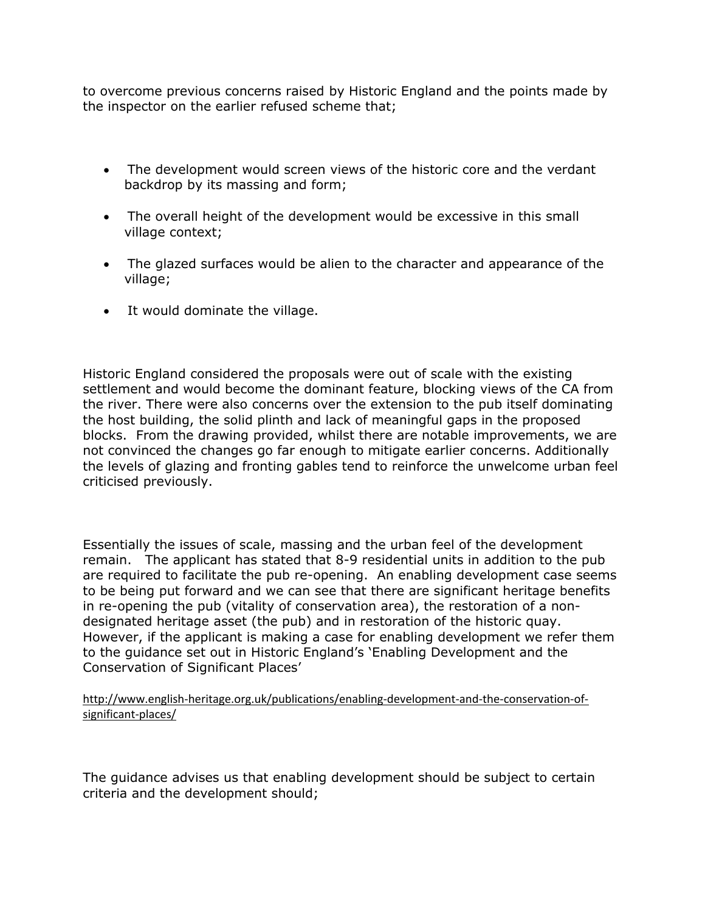to overcome previous concerns raised by Historic England and the points made by the inspector on the earlier refused scheme that;

 The development would screen views of the historic core and the verdant backdrop by its massing and form;

 The overall height of the development would be excessive in this small village context;

 The glazed surfaces would be alien to the character and appearance of the village;

It would dominate the village.

Historic England considered the proposals were out of scale with the existing settlement and would become the dominant feature, blocking views of the CA from the river. There were also concerns over the extension to the pub itself dominating the host building, the solid plinth and lack of meaningful gaps in the proposed blocks. From the drawing provided, whilst there are notable improvements, we are not convinced the changes go far enough to mitigate earlier concerns. Additionally the levels of glazing and fronting gables tend to reinforce the unwelcome urban feel criticised previously.

Essentially the issues of scale, massing and the urban feel of the development remain. The applicant has stated that 8-9 residential units in addition to the pub are required to facilitate the pub re-opening. An enabling development case seems to be being put forward and we can see that there are significant heritage benefits in re-opening the pub (vitality of conservation area), the restoration of a nondesignated heritage asset (the pub) and in restoration of the historic quay. However, if the applicant is making a case for enabling development we refer them to the guidance set out in Historic England's 'Enabling Development and the Conservation of Significant Places'

[http://www.english-heritage.org.uk/publications/enabling-development-and-the-conservation](http://www.english-heritage.org.uk/publications/enabling-development-and-the-conservation-of-significant-places/)-of[significant-places](http://www.english-heritage.org.uk/publications/enabling-development-and-the-conservation-of-significant-places/)/

The guidance advises us that enabling development should be subject to certain criteria and the development should;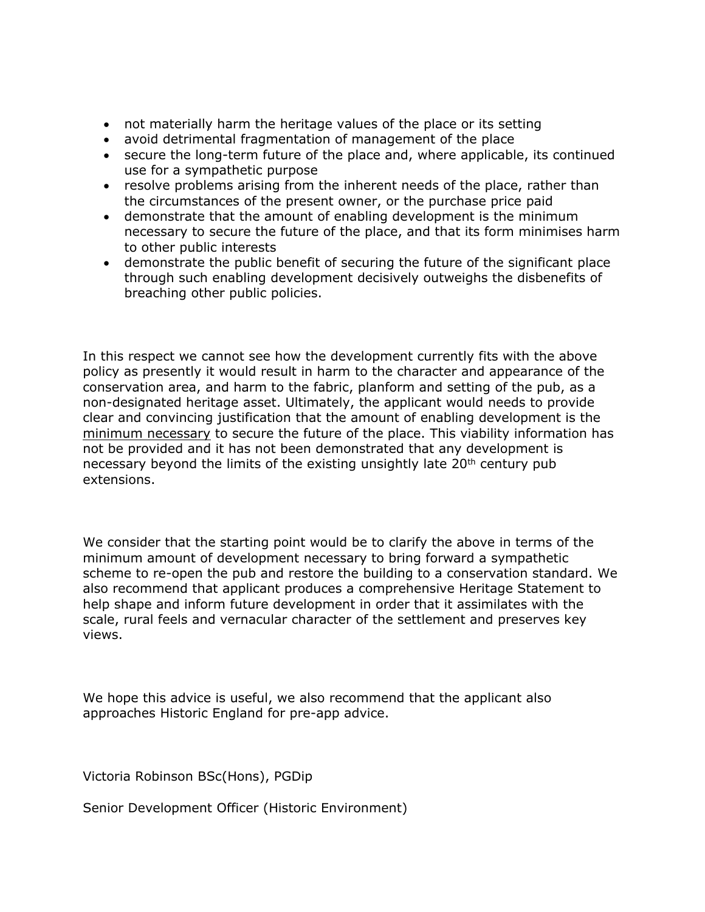- not materially harm the heritage values of the place or its setting
- avoid detrimental fragmentation of management of the place
- secure the long-term future of the place and, where applicable, its continued use for a sympathetic purpose
- resolve problems arising from the inherent needs of the place, rather than the circumstances of the present owner, or the purchase price paid
- demonstrate that the amount of enabling development is the minimum necessary to secure the future of the place, and that its form minimises harm to other public interests
- demonstrate the public benefit of securing the future of the significant place through such enabling development decisively outweighs the disbenefits of breaching other public policies.

In this respect we cannot see how the development currently fits with the above policy as presently it would result in harm to the character and appearance of the conservation area, and harm to the fabric, planform and setting of the pub, as a non-designated heritage asset. Ultimately, the applicant would needs to provide clear and convincing justification that the amount of enabling development is the minimum necessary to secure the future of the place. This viability information has not be provided and it has not been demonstrated that any development is necessary beyond the limits of the existing unsightly late 20th century pub extensions.

We consider that the starting point would be to clarify the above in terms of the minimum amount of development necessary to bring forward a sympathetic scheme to re-open the pub and restore the building to a conservation standard. We also recommend that applicant produces a comprehensive Heritage Statement to help shape and inform future development in order that it assimilates with the scale, rural feels and vernacular character of the settlement and preserves key views.

We hope this advice is useful, we also recommend that the applicant also approaches Historic England for pre-app advice.

Victoria Robinson BSc(Hons), PGDip

Senior Development Officer (Historic Environment)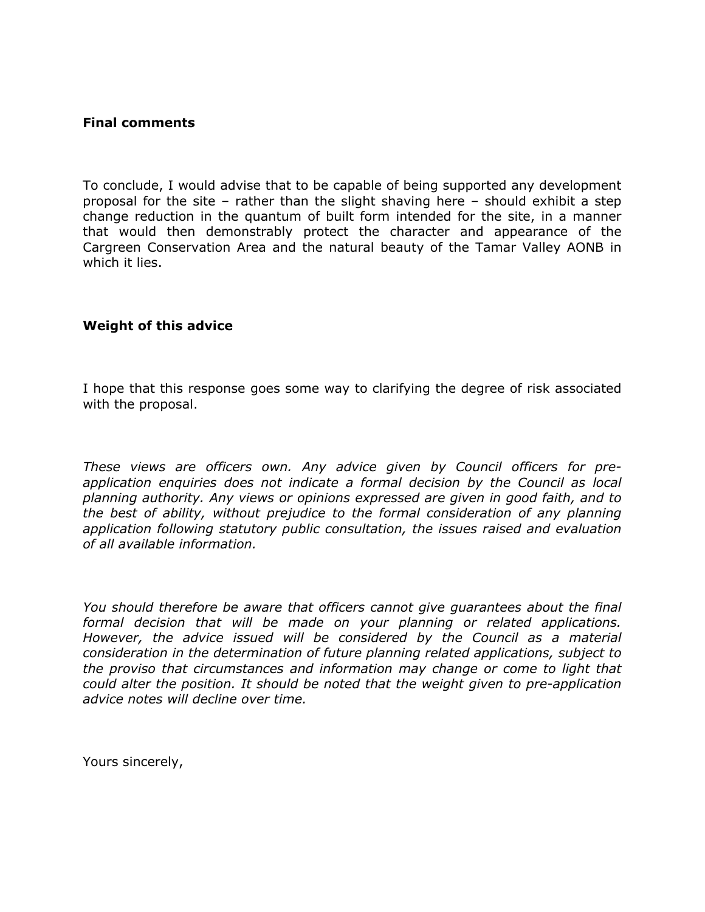### **Final comments**

To conclude, I would advise that to be capable of being supported any development proposal for the site – rather than the slight shaving here – should exhibit a step change reduction in the quantum of built form intended for the site, in a manner that would then demonstrably protect the character and appearance of the Cargreen Conservation Area and the natural beauty of the Tamar Valley AONB in which it lies.

#### **Weight of this advice**

I hope that this response goes some way to clarifying the degree of risk associated with the proposal.

*These views are officers own. Any advice given by Council officers for preapplication enquiries does not indicate a formal decision by the Council as local planning authority. Any views or opinions expressed are given in good faith, and to the best of ability, without prejudice to the formal consideration of any planning application following statutory public consultation, the issues raised and evaluation of all available information.*

*You should therefore be aware that officers cannot give guarantees about the final formal decision that will be made on your planning or related applications. However, the advice issued will be considered by the Council as a material consideration in the determination of future planning related applications, subject to the proviso that circumstances and information may change or come to light that could alter the position. It should be noted that the weight given to pre-application advice notes will decline over time.*

Yours sincerely,